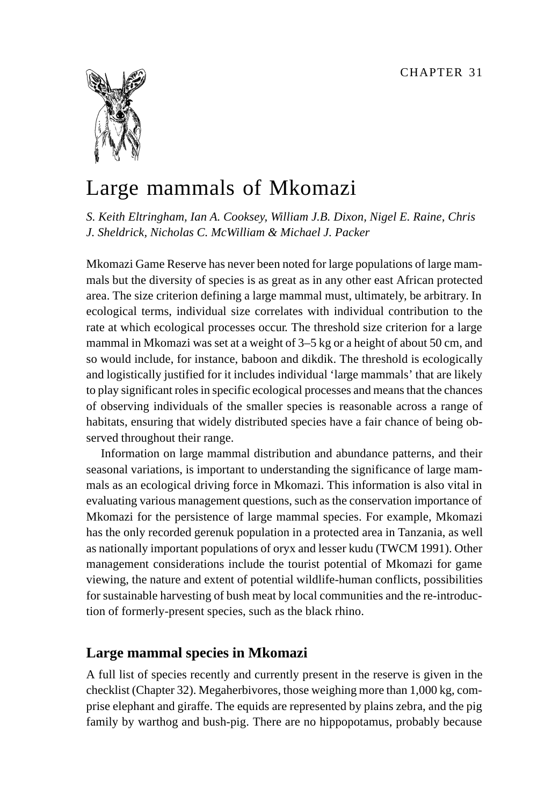

# Large mammals of Mkomazi

*S. Keith Eltringham, Ian A. Cooksey, William J.B. Dixon, Nigel E. Raine, Chris J. Sheldrick, Nicholas C. McWilliam & Michael J. Packer*

Mkomazi Game Reserve has never been noted for large populations of large mammals but the diversity of species is as great as in any other east African protected area. The size criterion defining a large mammal must, ultimately, be arbitrary. In ecological terms, individual size correlates with individual contribution to the rate at which ecological processes occur. The threshold size criterion for a large mammal in Mkomazi was set at a weight of 3–5 kg or a height of about 50 cm, and so would include, for instance, baboon and dikdik. The threshold is ecologically and logistically justified for it includes individual 'large mammals' that are likely to play significant roles in specific ecological processes and means that the chances of observing individuals of the smaller species is reasonable across a range of habitats, ensuring that widely distributed species have a fair chance of being observed throughout their range.

Information on large mammal distribution and abundance patterns, and their seasonal variations, is important to understanding the significance of large mammals as an ecological driving force in Mkomazi. This information is also vital in evaluating various management questions, such as the conservation importance of Mkomazi for the persistence of large mammal species. For example, Mkomazi has the only recorded gerenuk population in a protected area in Tanzania, as well as nationally important populations of oryx and lesser kudu (TWCM 1991). Other management considerations include the tourist potential of Mkomazi for game viewing, the nature and extent of potential wildlife-human conflicts, possibilities for sustainable harvesting of bush meat by local communities and the re-introduction of formerly-present species, such as the black rhino.

## **Large mammal species in Mkomazi**

A full list of species recently and currently present in the reserve is given in the checklist (Chapter 32). Megaherbivores, those weighing more than 1,000 kg, comprise elephant and giraffe. The equids are represented by plains zebra, and the pig family by warthog and bush-pig. There are no hippopotamus, probably because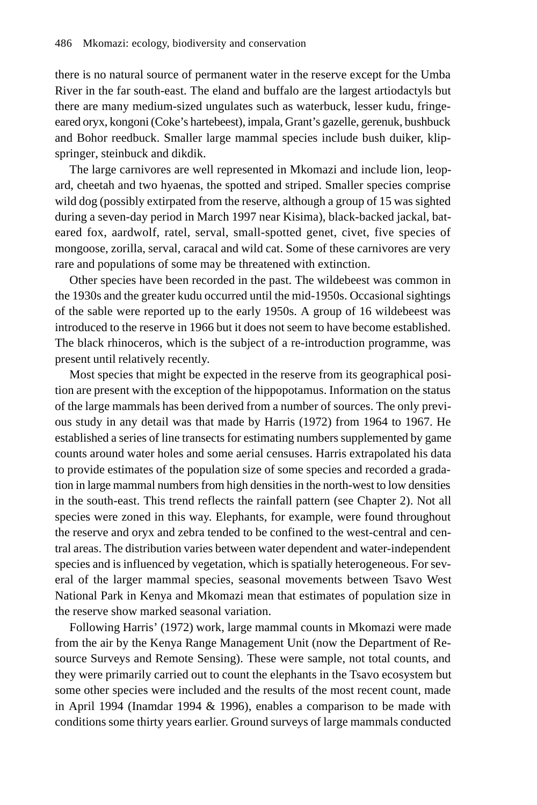there is no natural source of permanent water in the reserve except for the Umba River in the far south-east. The eland and buffalo are the largest artiodactyls but there are many medium-sized ungulates such as waterbuck, lesser kudu, fringeeared oryx, kongoni (Coke's hartebeest), impala, Grant's gazelle, gerenuk, bushbuck and Bohor reedbuck. Smaller large mammal species include bush duiker, klipspringer, steinbuck and dikdik.

The large carnivores are well represented in Mkomazi and include lion, leopard, cheetah and two hyaenas, the spotted and striped. Smaller species comprise wild dog (possibly extirpated from the reserve, although a group of 15 was sighted during a seven-day period in March 1997 near Kisima), black-backed jackal, bateared fox, aardwolf, ratel, serval, small-spotted genet, civet, five species of mongoose, zorilla, serval, caracal and wild cat. Some of these carnivores are very rare and populations of some may be threatened with extinction.

Other species have been recorded in the past. The wildebeest was common in the 1930s and the greater kudu occurred until the mid-1950s. Occasional sightings of the sable were reported up to the early 1950s. A group of 16 wildebeest was introduced to the reserve in 1966 but it does not seem to have become established. The black rhinoceros, which is the subject of a re-introduction programme, was present until relatively recently.

Most species that might be expected in the reserve from its geographical position are present with the exception of the hippopotamus. Information on the status of the large mammals has been derived from a number of sources. The only previous study in any detail was that made by Harris (1972) from 1964 to 1967. He established a series of line transects for estimating numbers supplemented by game counts around water holes and some aerial censuses. Harris extrapolated his data to provide estimates of the population size of some species and recorded a gradation in large mammal numbers from high densities in the north-west to low densities in the south-east. This trend reflects the rainfall pattern (see Chapter 2). Not all species were zoned in this way. Elephants, for example, were found throughout the reserve and oryx and zebra tended to be confined to the west-central and central areas. The distribution varies between water dependent and water-independent species and is influenced by vegetation, which is spatially heterogeneous. For several of the larger mammal species, seasonal movements between Tsavo West National Park in Kenya and Mkomazi mean that estimates of population size in the reserve show marked seasonal variation.

Following Harris' (1972) work, large mammal counts in Mkomazi were made from the air by the Kenya Range Management Unit (now the Department of Resource Surveys and Remote Sensing). These were sample, not total counts, and they were primarily carried out to count the elephants in the Tsavo ecosystem but some other species were included and the results of the most recent count, made in April 1994 (Inamdar 1994 & 1996), enables a comparison to be made with conditions some thirty years earlier. Ground surveys of large mammals conducted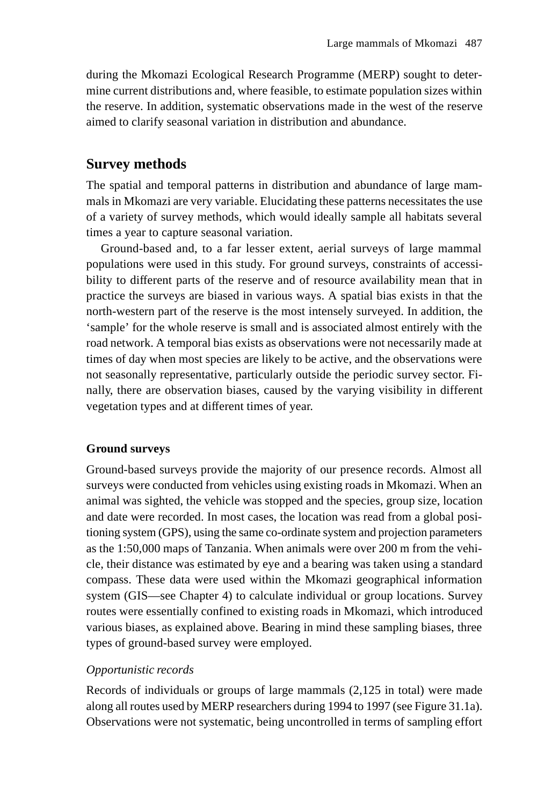during the Mkomazi Ecological Research Programme (MERP) sought to determine current distributions and, where feasible, to estimate population sizes within the reserve. In addition, systematic observations made in the west of the reserve aimed to clarify seasonal variation in distribution and abundance.

## **Survey methods**

The spatial and temporal patterns in distribution and abundance of large mammals in Mkomazi are very variable. Elucidating these patterns necessitates the use of a variety of survey methods, which would ideally sample all habitats several times a year to capture seasonal variation.

Ground-based and, to a far lesser extent, aerial surveys of large mammal populations were used in this study. For ground surveys, constraints of accessibility to different parts of the reserve and of resource availability mean that in practice the surveys are biased in various ways. A spatial bias exists in that the north-western part of the reserve is the most intensely surveyed. In addition, the 'sample' for the whole reserve is small and is associated almost entirely with the road network. A temporal bias exists as observations were not necessarily made at times of day when most species are likely to be active, and the observations were not seasonally representative, particularly outside the periodic survey sector. Finally, there are observation biases, caused by the varying visibility in different vegetation types and at different times of year.

#### **Ground surveys**

Ground-based surveys provide the majority of our presence records. Almost all surveys were conducted from vehicles using existing roads in Mkomazi. When an animal was sighted, the vehicle was stopped and the species, group size, location and date were recorded. In most cases, the location was read from a global positioning system (GPS), using the same co-ordinate system and projection parameters as the 1:50,000 maps of Tanzania. When animals were over 200 m from the vehicle, their distance was estimated by eye and a bearing was taken using a standard compass. These data were used within the Mkomazi geographical information system (GIS—see Chapter 4) to calculate individual or group locations. Survey routes were essentially confined to existing roads in Mkomazi, which introduced various biases, as explained above. Bearing in mind these sampling biases, three types of ground-based survey were employed.

#### *Opportunistic records*

Records of individuals or groups of large mammals (2,125 in total) were made along all routes used by MERP researchers during 1994 to 1997 (see Figure 31.1a). Observations were not systematic, being uncontrolled in terms of sampling effort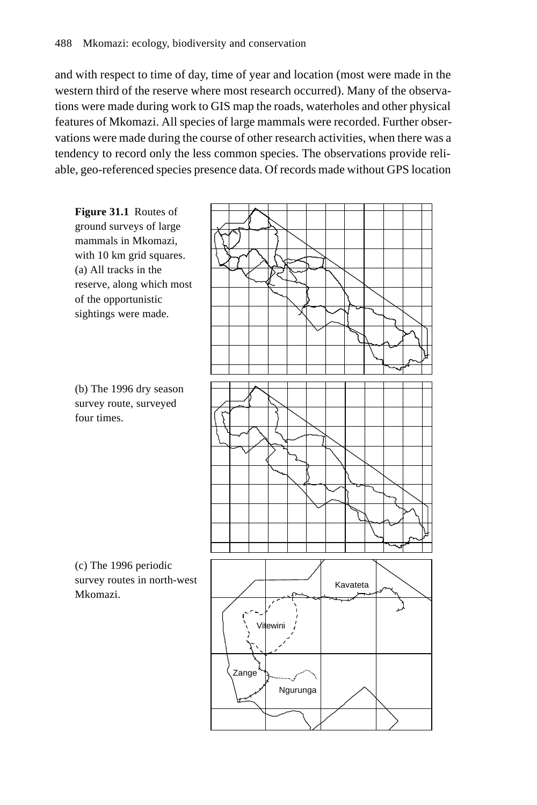and with respect to time of day, time of year and location (most were made in the western third of the reserve where most research occurred). Many of the observations were made during work to GIS map the roads, waterholes and other physical features of Mkomazi. All species of large mammals were recorded. Further observations were made during the course of other research activities, when there was a tendency to record only the less common species. The observations provide reliable, geo-referenced species presence data. Of records made without GPS location



Ngurunga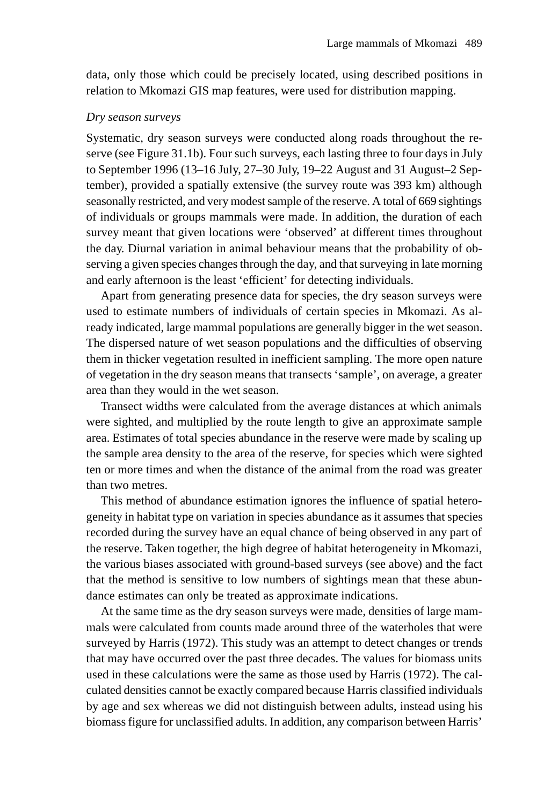data, only those which could be precisely located, using described positions in relation to Mkomazi GIS map features, were used for distribution mapping.

#### *Dry season surveys*

Systematic, dry season surveys were conducted along roads throughout the reserve (see Figure 31.1b). Four such surveys, each lasting three to four days in July to September 1996 (13–16 July, 27–30 July, 19–22 August and 31 August–2 September), provided a spatially extensive (the survey route was 393 km) although seasonally restricted, and very modest sample of the reserve. A total of 669 sightings of individuals or groups mammals were made. In addition, the duration of each survey meant that given locations were 'observed' at different times throughout the day. Diurnal variation in animal behaviour means that the probability of observing a given species changes through the day, and that surveying in late morning and early afternoon is the least 'efficient' for detecting individuals.

Apart from generating presence data for species, the dry season surveys were used to estimate numbers of individuals of certain species in Mkomazi. As already indicated, large mammal populations are generally bigger in the wet season. The dispersed nature of wet season populations and the difficulties of observing them in thicker vegetation resulted in inefficient sampling. The more open nature of vegetation in the dry season means that transects 'sample', on average, a greater area than they would in the wet season.

Transect widths were calculated from the average distances at which animals were sighted, and multiplied by the route length to give an approximate sample area. Estimates of total species abundance in the reserve were made by scaling up the sample area density to the area of the reserve, for species which were sighted ten or more times and when the distance of the animal from the road was greater than two metres.

This method of abundance estimation ignores the influence of spatial heterogeneity in habitat type on variation in species abundance as it assumes that species recorded during the survey have an equal chance of being observed in any part of the reserve. Taken together, the high degree of habitat heterogeneity in Mkomazi, the various biases associated with ground-based surveys (see above) and the fact that the method is sensitive to low numbers of sightings mean that these abundance estimates can only be treated as approximate indications.

At the same time as the dry season surveys were made, densities of large mammals were calculated from counts made around three of the waterholes that were surveyed by Harris (1972). This study was an attempt to detect changes or trends that may have occurred over the past three decades. The values for biomass units used in these calculations were the same as those used by Harris (1972). The calculated densities cannot be exactly compared because Harris classified individuals by age and sex whereas we did not distinguish between adults, instead using his biomass figure for unclassified adults. In addition, any comparison between Harris'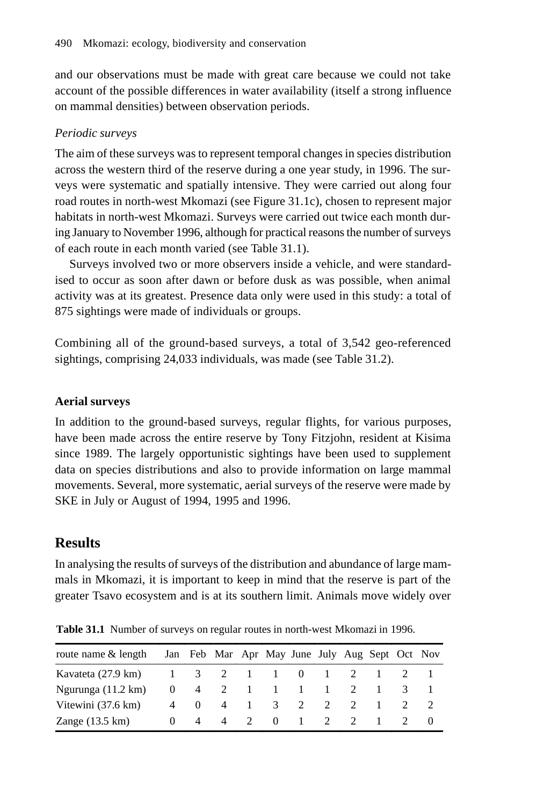and our observations must be made with great care because we could not take account of the possible differences in water availability (itself a strong influence on mammal densities) between observation periods.

## *Periodic surveys*

The aim of these surveys was to represent temporal changes in species distribution across the western third of the reserve during a one year study, in 1996. The surveys were systematic and spatially intensive. They were carried out along four road routes in north-west Mkomazi (see Figure 31.1c), chosen to represent major habitats in north-west Mkomazi. Surveys were carried out twice each month during January to November 1996, although for practical reasons the number of surveys of each route in each month varied (see Table 31.1).

Surveys involved two or more observers inside a vehicle, and were standardised to occur as soon after dawn or before dusk as was possible, when animal activity was at its greatest. Presence data only were used in this study: a total of 875 sightings were made of individuals or groups.

Combining all of the ground-based surveys, a total of 3,542 geo-referenced sightings, comprising 24,033 individuals, was made (see Table 31.2).

## **Aerial surveys**

In addition to the ground-based surveys, regular flights, for various purposes, have been made across the entire reserve by Tony Fitzjohn, resident at Kisima since 1989. The largely opportunistic sightings have been used to supplement data on species distributions and also to provide information on large mammal movements. Several, more systematic, aerial surveys of the reserve were made by SKE in July or August of 1994, 1995 and 1996.

# **Results**

In analysing the results of surveys of the distribution and abundance of large mammals in Mkomazi, it is important to keep in mind that the reserve is part of the greater Tsavo ecosystem and is at its southern limit. Animals move widely over

| route name & length                                        |          | Jan Feb Mar Apr May June July Aug Sept Oct Nov |  |           |             |  |  |
|------------------------------------------------------------|----------|------------------------------------------------|--|-----------|-------------|--|--|
| Kavateta (27.9 km) $1 \t3 \t2 \t1 \t1 \t0 \t1 \t2 \t1 \t2$ |          |                                                |  |           |             |  |  |
| Ngurunga $(11.2 \text{ km})$                               |          | 0 4 2 1 1 1 1 2 1                              |  |           |             |  |  |
| Vitewini $(37.6 \text{ km})$                               |          | 4 0 4 1 3 2                                    |  |           | $2 \quad 2$ |  |  |
| Zange $(13.5 \text{ km})$                                  | $0 \t 4$ | 4                                              |  | 2 0 1 2 2 |             |  |  |

**Table 31.1** Number of surveys on regular routes in north-west Mkomazi in 1996.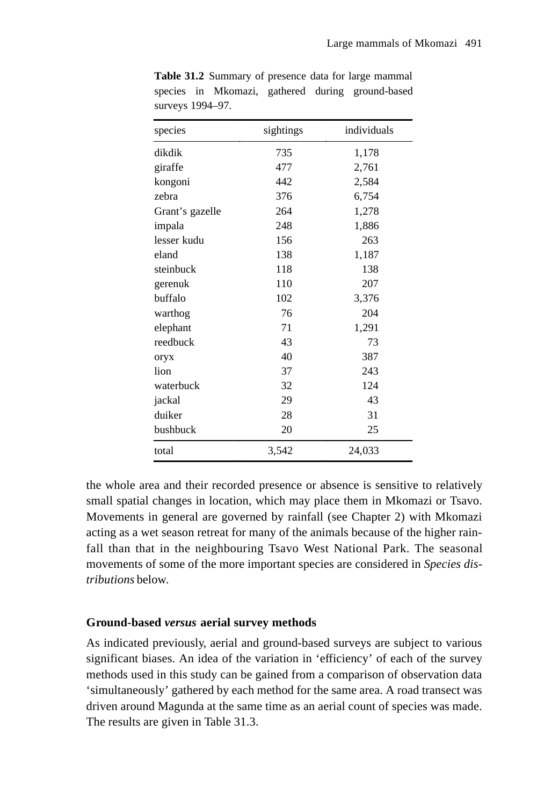| species         | sightings | individuals |
|-----------------|-----------|-------------|
| dikdik          | 735       | 1,178       |
| giraffe         | 477       | 2,761       |
| kongoni         | 442       | 2,584       |
| zebra           | 376       | 6,754       |
| Grant's gazelle | 264       | 1,278       |
| impala          | 248       | 1,886       |
| lesser kudu     | 156       | 263         |
| eland           | 138       | 1,187       |
| steinbuck       | 118       | 138         |
| gerenuk         | 110       | 207         |
| buffalo         | 102       | 3,376       |
| warthog         | 76        | 204         |
| elephant        | 71        | 1,291       |
| reedbuck        | 43        | 73          |
| oryx            | 40        | 387         |
| lion            | 37        | 243         |
| waterbuck       | 32        | 124         |
| jackal          | 29        | 43          |
| duiker          | 28        | 31          |
| bushbuck        | 20        | 25          |
| total           | 3,542     | 24,033      |

**Table 31.2** Summary of presence data for large mammal species in Mkomazi, gathered during ground-based surveys 1994–97.

the whole area and their recorded presence or absence is sensitive to relatively small spatial changes in location, which may place them in Mkomazi or Tsavo. Movements in general are governed by rainfall (see Chapter 2) with Mkomazi acting as a wet season retreat for many of the animals because of the higher rainfall than that in the neighbouring Tsavo West National Park. The seasonal movements of some of the more important species are considered in *Species distributions* below.

#### **Ground-based** *versus* **aerial survey methods**

As indicated previously, aerial and ground-based surveys are subject to various significant biases. An idea of the variation in 'efficiency' of each of the survey methods used in this study can be gained from a comparison of observation data 'simultaneously' gathered by each method for the same area. A road transect was driven around Magunda at the same time as an aerial count of species was made. The results are given in Table 31.3.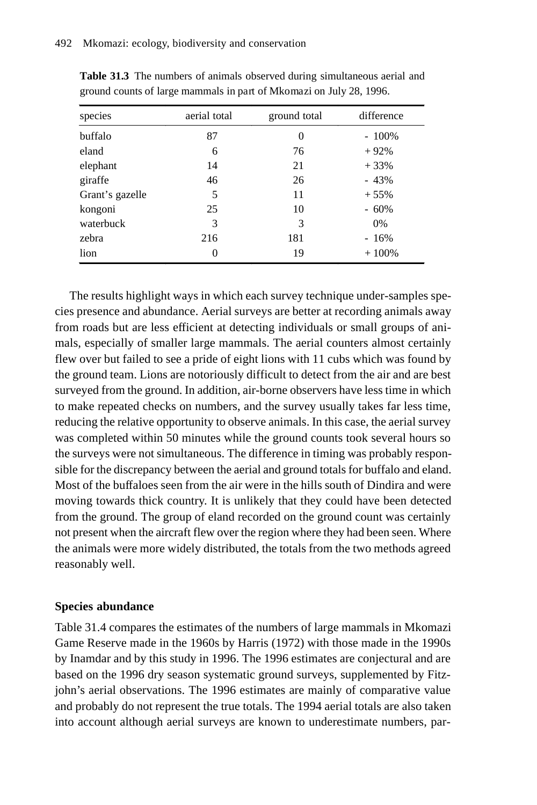| species         | aerial total | ground total | difference |
|-----------------|--------------|--------------|------------|
| buffalo         | 87           | 0            | $-100\%$   |
| eland           | 6            | 76           | $+92%$     |
| elephant        | 14           | 21           | $+33%$     |
| giraffe         | 46           | 26           | $-43%$     |
| Grant's gazelle | 5            | 11           | $+55%$     |
| kongoni         | 25           | 10           | $-60%$     |
| waterbuck       | 3            | 3            | $0\%$      |
| zebra           | 216          | 181          | $-16%$     |
| lion            | 0            | 19           | $+100%$    |

**Table 31.3** The numbers of animals observed during simultaneous aerial and ground counts of large mammals in part of Mkomazi on July 28, 1996.

The results highlight ways in which each survey technique under-samples species presence and abundance. Aerial surveys are better at recording animals away from roads but are less efficient at detecting individuals or small groups of animals, especially of smaller large mammals. The aerial counters almost certainly flew over but failed to see a pride of eight lions with 11 cubs which was found by the ground team. Lions are notoriously difficult to detect from the air and are best surveyed from the ground. In addition, air-borne observers have less time in which to make repeated checks on numbers, and the survey usually takes far less time, reducing the relative opportunity to observe animals. In this case, the aerial survey was completed within 50 minutes while the ground counts took several hours so the surveys were not simultaneous. The difference in timing was probably responsible for the discrepancy between the aerial and ground totals for buffalo and eland. Most of the buffaloes seen from the air were in the hills south of Dindira and were moving towards thick country. It is unlikely that they could have been detected from the ground. The group of eland recorded on the ground count was certainly not present when the aircraft flew over the region where they had been seen. Where the animals were more widely distributed, the totals from the two methods agreed reasonably well.

#### **Species abundance**

Table 31.4 compares the estimates of the numbers of large mammals in Mkomazi Game Reserve made in the 1960s by Harris (1972) with those made in the 1990s by Inamdar and by this study in 1996. The 1996 estimates are conjectural and are based on the 1996 dry season systematic ground surveys, supplemented by Fitzjohn's aerial observations. The 1996 estimates are mainly of comparative value and probably do not represent the true totals. The 1994 aerial totals are also taken into account although aerial surveys are known to underestimate numbers, par-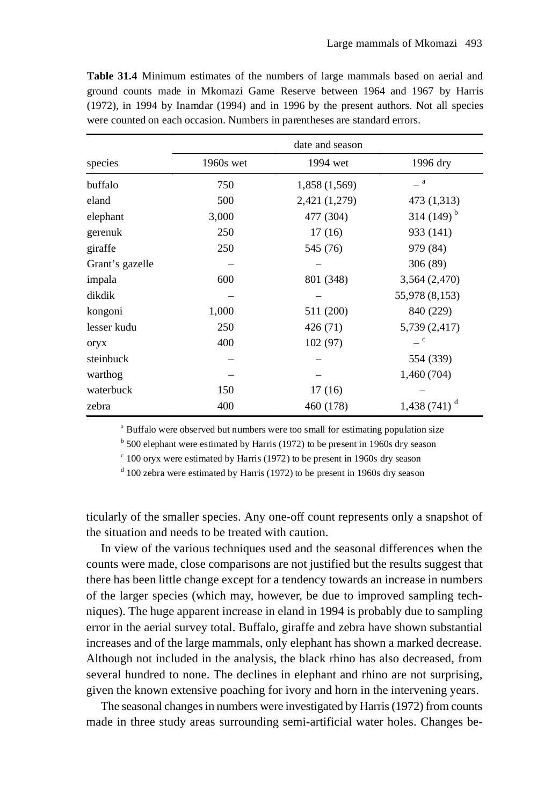|                 | date and season |               |                          |  |  |  |
|-----------------|-----------------|---------------|--------------------------|--|--|--|
| species         | 1960s wet       | 1994 wet      | 1996 dry                 |  |  |  |
| buffalo         | 750             | 1,858 (1,569) | $\_$ a $\,$              |  |  |  |
| eland           | 500             | 2,421 (1,279) | 473 (1,313)              |  |  |  |
| elephant        | 3,000           | 477 (304)     | 314 $(149)^{b}$          |  |  |  |
| gerenuk         | 250             | 17(16)        | 933 (141)                |  |  |  |
| giraffe         | 250             | 545 (76)      | 979 (84)                 |  |  |  |
| Grant's gazelle |                 |               | 306 (89)                 |  |  |  |
| impala          | 600             | 801 (348)     | 3,564 (2,470)            |  |  |  |
| dikdik          |                 |               | 55,978 (8,153)           |  |  |  |
| kongoni         | 1,000           | 511 (200)     | 840 (229)                |  |  |  |
| lesser kudu     | 250             | 426 (71)      | 5,739 (2,417)            |  |  |  |
| oryx            | 400             | 102(97)       | $\equiv$ c               |  |  |  |
| steinbuck       |                 |               | 554 (339)                |  |  |  |
| warthog         |                 |               | 1,460 (704)              |  |  |  |
| waterbuck       | 150             | 17(16)        |                          |  |  |  |
| zebra           | 400             | 460 (178)     | 1,438 (741) <sup>d</sup> |  |  |  |

**Table 31.4** Minimum estimates of the numbers of large mammals based on aerial and ground counts made in Mkomazi Game Reserve between 1964 and 1967 by Harris (1972), in 1994 by Inamdar (1994) and in 1996 by the present authors. Not all species were counted on each occasion. Numbers in parentheses are standard errors.

<sup>a</sup> Buffalo were observed but numbers were too small for estimating population size

<sup>b</sup> 500 elephant were estimated by Harris (1972) to be present in 1960s dry season

c 100 oryx were estimated by Harris (1972) to be present in 1960s dry season

<sup>d</sup> 100 zebra were estimated by Harris (1972) to be present in 1960s dry season

ticularly of the smaller species. Any one-off count represents only a snapshot of the situation and needs to be treated with caution.

In view of the various techniques used and the seasonal differences when the counts were made, close comparisons are not justified but the results suggest that there has been little change except for a tendency towards an increase in numbers of the larger species (which may, however, be due to improved sampling techniques). The huge apparent increase in eland in 1994 is probably due to sampling error in the aerial survey total. Buffalo, giraffe and zebra have shown substantial increases and of the large mammals, only elephant has shown a marked decrease. Although not included in the analysis, the black rhino has also decreased, from several hundred to none. The declines in elephant and rhino are not surprising, given the known extensive poaching for ivory and horn in the intervening years.

The seasonal changes in numbers were investigated by Harris (1972) from counts made in three study areas surrounding semi-artificial water holes. Changes be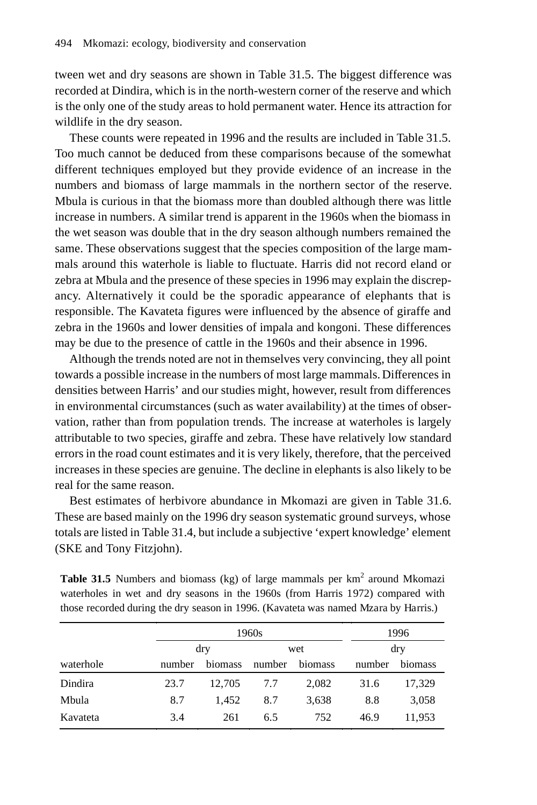tween wet and dry seasons are shown in Table 31.5. The biggest difference was recorded at Dindira, which is in the north-western corner of the reserve and which is the only one of the study areas to hold permanent water. Hence its attraction for wildlife in the dry season.

These counts were repeated in 1996 and the results are included in Table 31.5. Too much cannot be deduced from these comparisons because of the somewhat different techniques employed but they provide evidence of an increase in the numbers and biomass of large mammals in the northern sector of the reserve. Mbula is curious in that the biomass more than doubled although there was little increase in numbers. A similar trend is apparent in the 1960s when the biomass in the wet season was double that in the dry season although numbers remained the same. These observations suggest that the species composition of the large mammals around this waterhole is liable to fluctuate. Harris did not record eland or zebra at Mbula and the presence of these species in 1996 may explain the discrepancy. Alternatively it could be the sporadic appearance of elephants that is responsible. The Kavateta figures were influenced by the absence of giraffe and zebra in the 1960s and lower densities of impala and kongoni. These differences may be due to the presence of cattle in the 1960s and their absence in 1996.

Although the trends noted are not in themselves very convincing, they all point towards a possible increase in the numbers of most large mammals. Differences in densities between Harris' and our studies might, however, result from differences in environmental circumstances (such as water availability) at the times of observation, rather than from population trends. The increase at waterholes is largely attributable to two species, giraffe and zebra. These have relatively low standard errors in the road count estimates and it is very likely, therefore, that the perceived increases in these species are genuine. The decline in elephants is also likely to be real for the same reason.

Best estimates of herbivore abundance in Mkomazi are given in Table 31.6. These are based mainly on the 1996 dry season systematic ground surveys, whose totals are listed in Table 31.4, but include a subjective 'expert knowledge' element (SKE and Tony Fitzjohn).

| <b>Table 31.5</b> Numbers and biomass (kg) of large mammals per $km2$ around Mkomazi |  |
|--------------------------------------------------------------------------------------|--|
| waterholes in wet and dry seasons in the 1960s (from Harris 1972) compared with      |  |
| those recorded during the dry season in 1996. (Kavateta was named Mzara by Harris.)  |  |

|           |        | 1960s   | 1996   |         |        |         |
|-----------|--------|---------|--------|---------|--------|---------|
|           | dry    |         | wet    |         | dry    |         |
| waterhole | number | biomass | number | biomass | number | biomass |
| Dindira   | 23.7   | 12,705  | 7.7    | 2,082   | 31.6   | 17,329  |
| Mbula     | 8.7    | 1.452   | 8.7    | 3,638   | 8.8    | 3,058   |
| Kavateta  | 3.4    | 261     | 6.5    | 752     | 46.9   | 11,953  |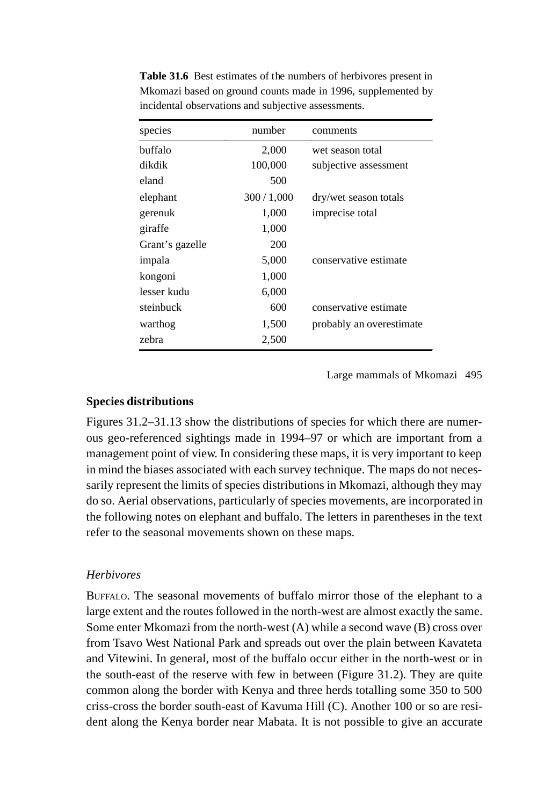| species         | number    | comments                 |
|-----------------|-----------|--------------------------|
| buffalo         | 2,000     | wet season total         |
| dikdik          | 100,000   | subjective assessment    |
| eland           | 500       |                          |
| elephant        | 300/1,000 | dry/wet season totals    |
| gerenuk         | 1,000     | imprecise total          |
| giraffe         | 1,000     |                          |
| Grant's gazelle | 200       |                          |
| impala          | 5,000     | conservative estimate    |
| kongoni         | 1,000     |                          |
| lesser kudu     | 6,000     |                          |
| steinbuck       | 600       | conservative estimate    |
| warthog         | 1,500     | probably an overestimate |
| zebra           | 2,500     |                          |

**Table 31.6** Best estimates of the numbers of herbivores present in Mkomazi based on ground counts made in 1996, supplemented by incidental observations and subjective assessments.

Large mammals of Mkomazi 495

#### **Species distributions**

Figures 31.2–31.13 show the distributions of species for which there are numerous geo-referenced sightings made in 1994–97 or which are important from a management point of view. In considering these maps, it is very important to keep in mind the biases associated with each survey technique. The maps do not necessarily represent the limits of species distributions in Mkomazi, although they may do so. Aerial observations, particularly of species movements, are incorporated in the following notes on elephant and buffalo. The letters in parentheses in the text refer to the seasonal movements shown on these maps.

#### *Herbivores*

BUFFALO. The seasonal movements of buffalo mirror those of the elephant to a large extent and the routes followed in the north-west are almost exactly the same. Some enter Mkomazi from the north-west (A) while a second wave (B) cross over from Tsavo West National Park and spreads out over the plain between Kavateta and Vitewini. In general, most of the buffalo occur either in the north-west or in the south-east of the reserve with few in between (Figure 31.2). They are quite common along the border with Kenya and three herds totalling some 350 to 500 criss-cross the border south-east of Kavuma Hill (C). Another 100 or so are resident along the Kenya border near Mabata. It is not possible to give an accurate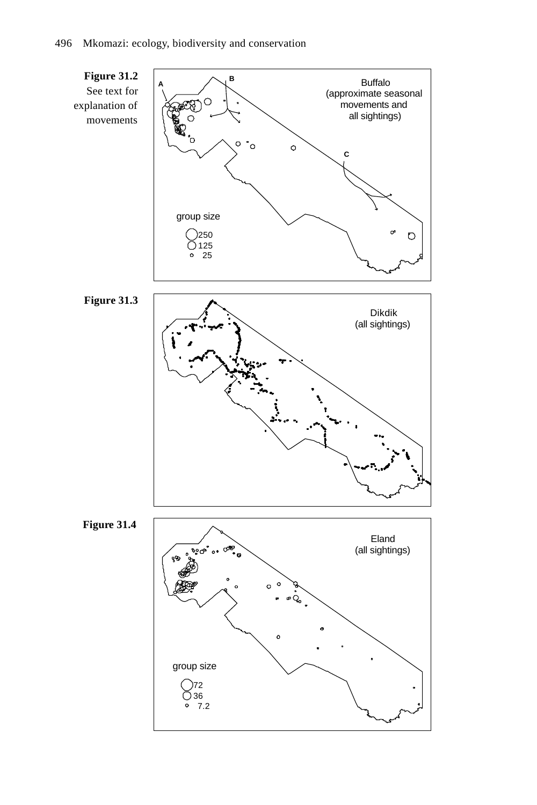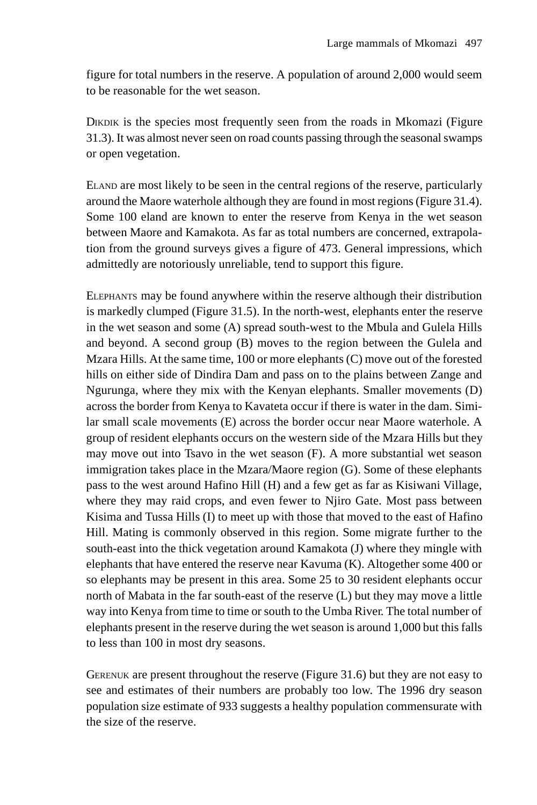figure for total numbers in the reserve. A population of around 2,000 would seem to be reasonable for the wet season.

DIKDIK is the species most frequently seen from the roads in Mkomazi (Figure 31.3). It was almost never seen on road counts passing through the seasonal swamps or open vegetation.

ELAND are most likely to be seen in the central regions of the reserve, particularly around the Maore waterhole although they are found in most regions (Figure 31.4). Some 100 eland are known to enter the reserve from Kenya in the wet season between Maore and Kamakota. As far as total numbers are concerned, extrapolation from the ground surveys gives a figure of 473. General impressions, which admittedly are notoriously unreliable, tend to support this figure.

ELEPHANTS may be found anywhere within the reserve although their distribution is markedly clumped (Figure 31.5). In the north-west, elephants enter the reserve in the wet season and some (A) spread south-west to the Mbula and Gulela Hills and beyond. A second group (B) moves to the region between the Gulela and Mzara Hills. At the same time, 100 or more elephants (C) move out of the forested hills on either side of Dindira Dam and pass on to the plains between Zange and Ngurunga, where they mix with the Kenyan elephants. Smaller movements (D) across the border from Kenya to Kavateta occur if there is water in the dam. Similar small scale movements (E) across the border occur near Maore waterhole. A group of resident elephants occurs on the western side of the Mzara Hills but they may move out into Tsavo in the wet season (F). A more substantial wet season immigration takes place in the Mzara/Maore region (G). Some of these elephants pass to the west around Hafino Hill (H) and a few get as far as Kisiwani Village, where they may raid crops, and even fewer to Njiro Gate. Most pass between Kisima and Tussa Hills (I) to meet up with those that moved to the east of Hafino Hill. Mating is commonly observed in this region. Some migrate further to the south-east into the thick vegetation around Kamakota (J) where they mingle with elephants that have entered the reserve near Kavuma (K). Altogether some 400 or so elephants may be present in this area. Some 25 to 30 resident elephants occur north of Mabata in the far south-east of the reserve (L) but they may move a little way into Kenya from time to time or south to the Umba River. The total number of elephants present in the reserve during the wet season is around 1,000 but this falls to less than 100 in most dry seasons.

GERENUK are present throughout the reserve (Figure 31.6) but they are not easy to see and estimates of their numbers are probably too low. The 1996 dry season population size estimate of 933 suggests a healthy population commensurate with the size of the reserve.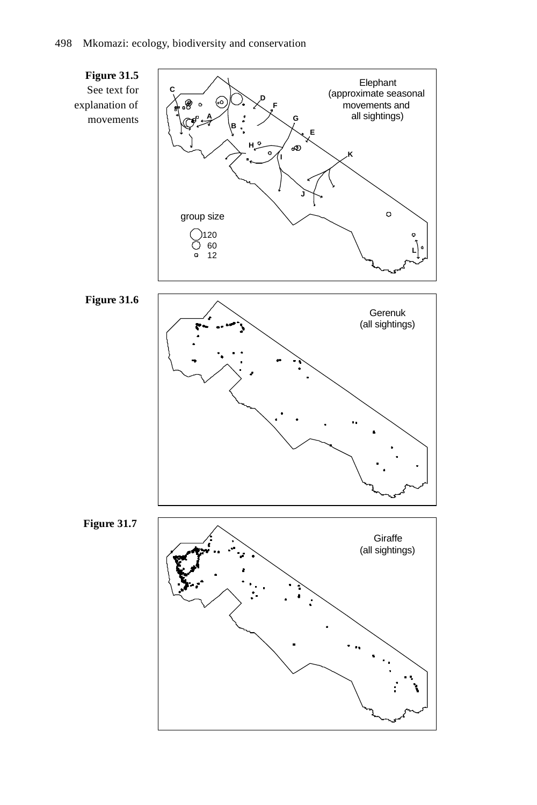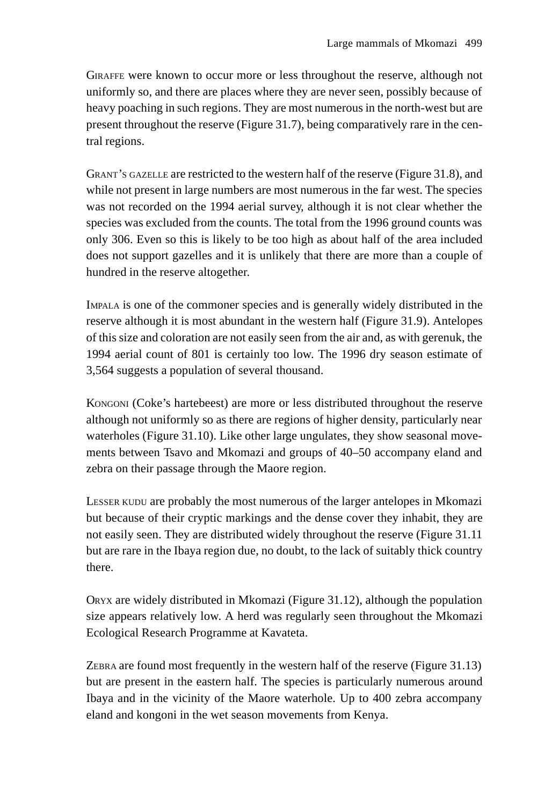GIRAFFE were known to occur more or less throughout the reserve, although not uniformly so, and there are places where they are never seen, possibly because of heavy poaching in such regions. They are most numerous in the north-west but are present throughout the reserve (Figure 31.7), being comparatively rare in the central regions.

GRANT'S GAZELLE are restricted to the western half of the reserve (Figure 31.8), and while not present in large numbers are most numerous in the far west. The species was not recorded on the 1994 aerial survey, although it is not clear whether the species was excluded from the counts. The total from the 1996 ground counts was only 306. Even so this is likely to be too high as about half of the area included does not support gazelles and it is unlikely that there are more than a couple of hundred in the reserve altogether.

IMPALA is one of the commoner species and is generally widely distributed in the reserve although it is most abundant in the western half (Figure 31.9). Antelopes of this size and coloration are not easily seen from the air and, as with gerenuk, the 1994 aerial count of 801 is certainly too low. The 1996 dry season estimate of 3,564 suggests a population of several thousand.

KONGONI (Coke's hartebeest) are more or less distributed throughout the reserve although not uniformly so as there are regions of higher density, particularly near waterholes (Figure 31.10). Like other large ungulates, they show seasonal movements between Tsavo and Mkomazi and groups of 40–50 accompany eland and zebra on their passage through the Maore region.

LESSER KUDU are probably the most numerous of the larger antelopes in Mkomazi but because of their cryptic markings and the dense cover they inhabit, they are not easily seen. They are distributed widely throughout the reserve (Figure 31.11 but are rare in the Ibaya region due, no doubt, to the lack of suitably thick country there.

ORYX are widely distributed in Mkomazi (Figure 31.12), although the population size appears relatively low. A herd was regularly seen throughout the Mkomazi Ecological Research Programme at Kavateta.

ZEBRA are found most frequently in the western half of the reserve (Figure 31.13) but are present in the eastern half. The species is particularly numerous around Ibaya and in the vicinity of the Maore waterhole. Up to 400 zebra accompany eland and kongoni in the wet season movements from Kenya.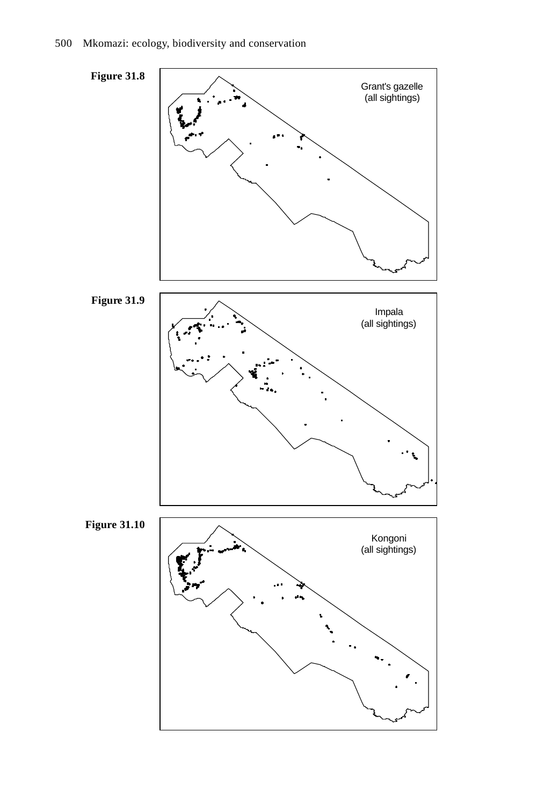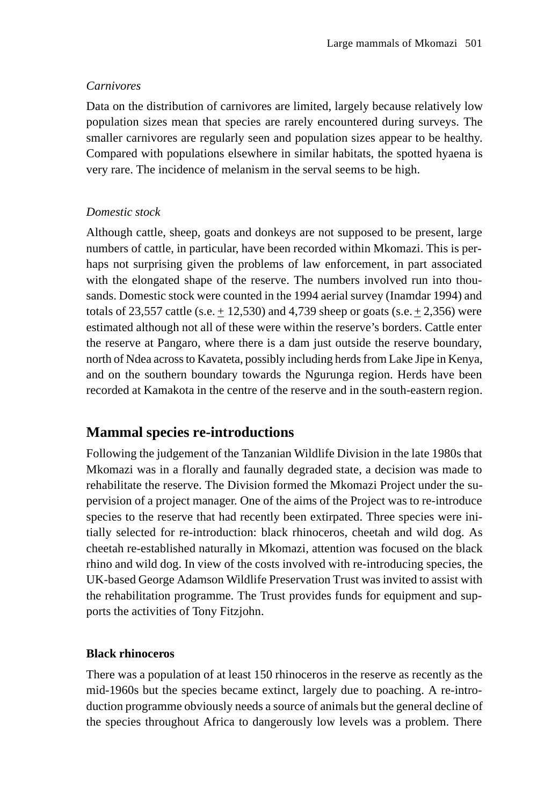## *Carnivores*

Data on the distribution of carnivores are limited, largely because relatively low population sizes mean that species are rarely encountered during surveys. The smaller carnivores are regularly seen and population sizes appear to be healthy. Compared with populations elsewhere in similar habitats, the spotted hyaena is very rare. The incidence of melanism in the serval seems to be high.

## *Domestic stock*

Although cattle, sheep, goats and donkeys are not supposed to be present, large numbers of cattle, in particular, have been recorded within Mkomazi. This is perhaps not surprising given the problems of law enforcement, in part associated with the elongated shape of the reserve. The numbers involved run into thousands. Domestic stock were counted in the 1994 aerial survey (Inamdar 1994) and totals of 23,557 cattle (s.e.  $\pm$  12,530) and 4,739 sheep or goats (s.e.  $\pm$  2,356) were estimated although not all of these were within the reserve's borders. Cattle enter the reserve at Pangaro, where there is a dam just outside the reserve boundary, north of Ndea across to Kavateta, possibly including herds from Lake Jipe in Kenya, and on the southern boundary towards the Ngurunga region. Herds have been recorded at Kamakota in the centre of the reserve and in the south-eastern region.

# **Mammal species re-introductions**

Following the judgement of the Tanzanian Wildlife Division in the late 1980s that Mkomazi was in a florally and faunally degraded state, a decision was made to rehabilitate the reserve. The Division formed the Mkomazi Project under the supervision of a project manager. One of the aims of the Project was to re-introduce species to the reserve that had recently been extirpated. Three species were initially selected for re-introduction: black rhinoceros, cheetah and wild dog. As cheetah re-established naturally in Mkomazi, attention was focused on the black rhino and wild dog. In view of the costs involved with re-introducing species, the UK-based George Adamson Wildlife Preservation Trust was invited to assist with the rehabilitation programme. The Trust provides funds for equipment and supports the activities of Tony Fitzjohn.

## **Black rhinoceros**

There was a population of at least 150 rhinoceros in the reserve as recently as the mid-1960s but the species became extinct, largely due to poaching. A re-introduction programme obviously needs a source of animals but the general decline of the species throughout Africa to dangerously low levels was a problem. There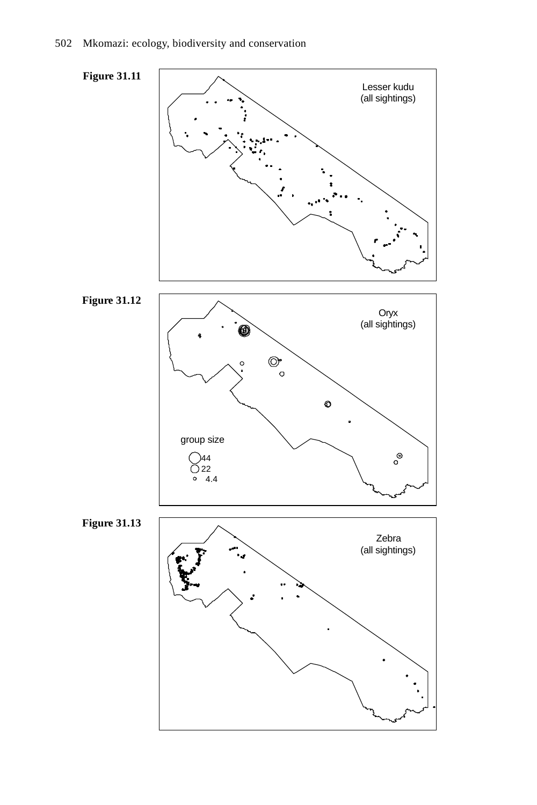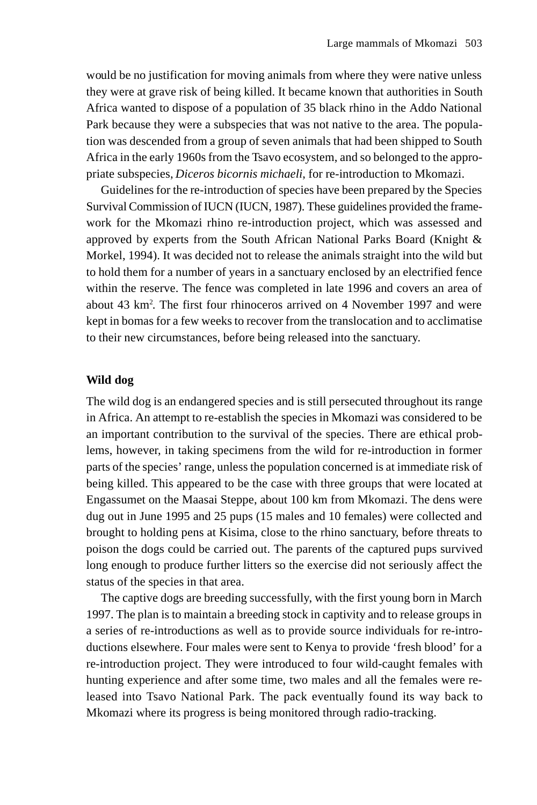would be no justification for moving animals from where they were native unless they were at grave risk of being killed. It became known that authorities in South Africa wanted to dispose of a population of 35 black rhino in the Addo National Park because they were a subspecies that was not native to the area. The population was descended from a group of seven animals that had been shipped to South Africa in the early 1960s from the Tsavo ecosystem, and so belonged to the appropriate subspecies, *Diceros bicornis michaeli*, for re-introduction to Mkomazi.

Guidelines for the re-introduction of species have been prepared by the Species Survival Commission of IUCN (IUCN, 1987). These guidelines provided the framework for the Mkomazi rhino re-introduction project, which was assessed and approved by experts from the South African National Parks Board (Knight & Morkel, 1994). It was decided not to release the animals straight into the wild but to hold them for a number of years in a sanctuary enclosed by an electrified fence within the reserve. The fence was completed in late 1996 and covers an area of about 43 km2 . The first four rhinoceros arrived on 4 November 1997 and were kept in bomas for a few weeks to recover from the translocation and to acclimatise to their new circumstances, before being released into the sanctuary.

#### **Wild dog**

The wild dog is an endangered species and is still persecuted throughout its range in Africa. An attempt to re-establish the species in Mkomazi was considered to be an important contribution to the survival of the species. There are ethical problems, however, in taking specimens from the wild for re-introduction in former parts of the species' range, unless the population concerned is at immediate risk of being killed. This appeared to be the case with three groups that were located at Engassumet on the Maasai Steppe, about 100 km from Mkomazi. The dens were dug out in June 1995 and 25 pups (15 males and 10 females) were collected and brought to holding pens at Kisima, close to the rhino sanctuary, before threats to poison the dogs could be carried out. The parents of the captured pups survived long enough to produce further litters so the exercise did not seriously affect the status of the species in that area.

The captive dogs are breeding successfully, with the first young born in March 1997. The plan is to maintain a breeding stock in captivity and to release groups in a series of re-introductions as well as to provide source individuals for re-introductions elsewhere. Four males were sent to Kenya to provide 'fresh blood' for a re-introduction project. They were introduced to four wild-caught females with hunting experience and after some time, two males and all the females were released into Tsavo National Park. The pack eventually found its way back to Mkomazi where its progress is being monitored through radio-tracking.